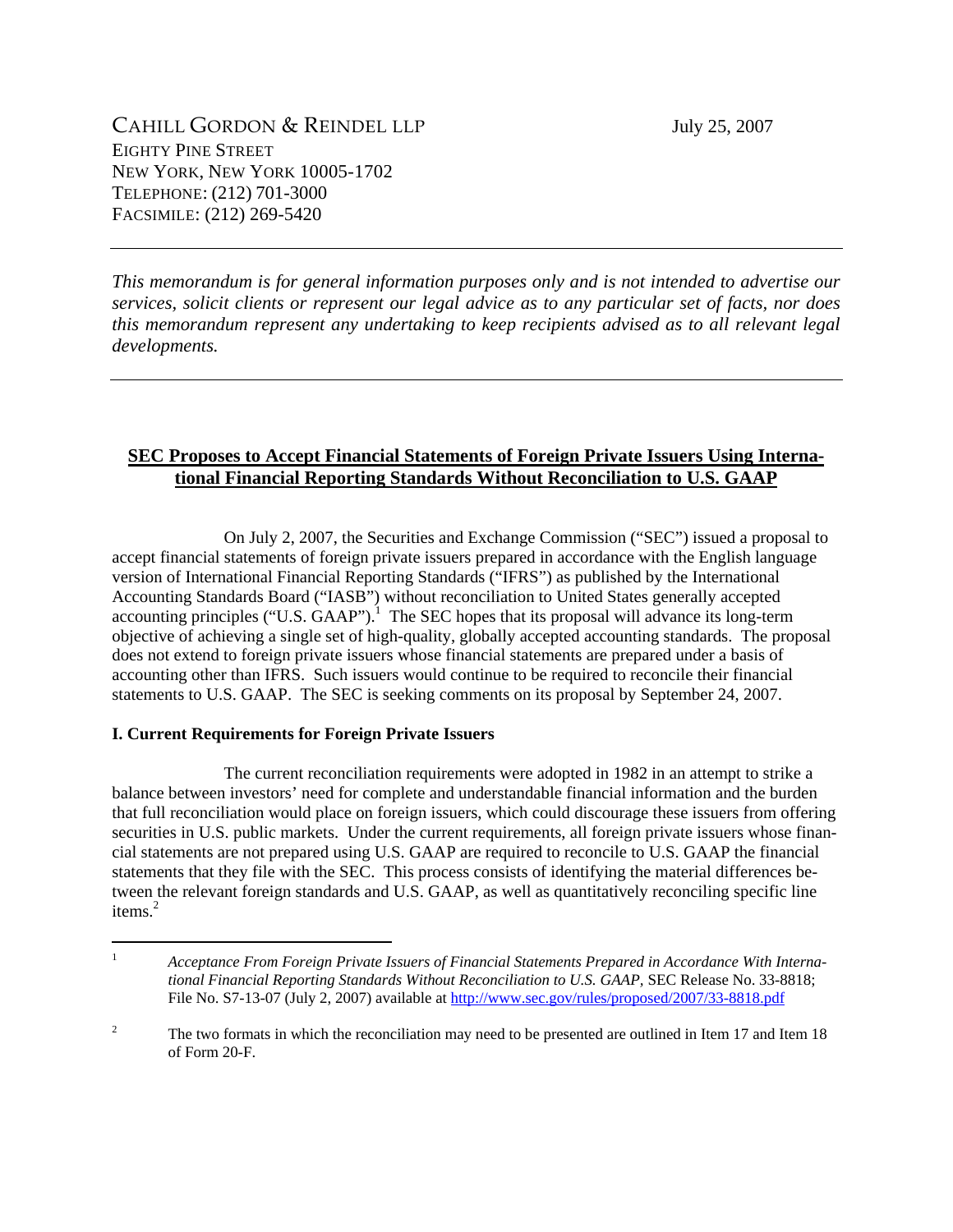*This memorandum is for general information purposes only and is not intended to advertise our services, solicit clients or represent our legal advice as to any particular set of facts, nor does this memorandum represent any undertaking to keep recipients advised as to all relevant legal developments.* 

## **SEC Proposes to Accept Financial Statements of Foreign Private Issuers Using International Financial Reporting Standards Without Reconciliation to U.S. GAAP**

 On July 2, 2007, the Securities and Exchange Commission ("SEC") issued a proposal to accept financial statements of foreign private issuers prepared in accordance with the English language version of International Financial Reporting Standards ("IFRS") as published by the International Accounting Standards Board ("IASB") without reconciliation to United States generally accepted accounting principles ("U.S. GAAP").<sup>1</sup> The SEC hopes that its proposal will advance its long-term objective of achieving a single set of high-quality, globally accepted accounting standards. The proposal does not extend to foreign private issuers whose financial statements are prepared under a basis of accounting other than IFRS. Such issuers would continue to be required to reconcile their financial statements to U.S. GAAP. The SEC is seeking comments on its proposal by September 24, 2007.

## **I. Current Requirements for Foreign Private Issuers**

 The current reconciliation requirements were adopted in 1982 in an attempt to strike a balance between investors' need for complete and understandable financial information and the burden that full reconciliation would place on foreign issuers, which could discourage these issuers from offering securities in U.S. public markets. Under the current requirements, all foreign private issuers whose financial statements are not prepared using U.S. GAAP are required to reconcile to U.S. GAAP the financial statements that they file with the SEC. This process consists of identifying the material differences between the relevant foreign standards and U.S. GAAP, as well as quantitatively reconciling specific line items.<sup>2</sup>

<sup>1</sup> *Acceptance From Foreign Private Issuers of Financial Statements Prepared in Accordance With International Financial Reporting Standards Without Reconciliation to U.S. GAAP,* SEC Release No. 33-8818; File No. S7-13-07 (July 2, 2007) available at http://www.sec.gov/rules/proposed/2007/33-8818.pdf

<sup>2</sup> The two formats in which the reconciliation may need to be presented are outlined in Item 17 and Item 18 of Form 20-F.